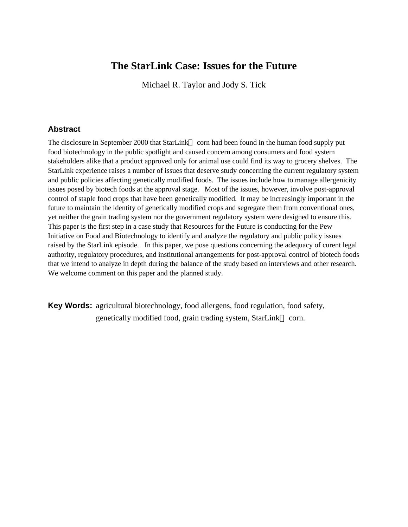# **The StarLink Case: Issues for the Future**

Michael R. Taylor and Jody S. Tick

# **Abstract**

The disclosure in September 2000 that StarLink™ corn had been found in the human food supply put food biotechnology in the public spotlight and caused concern among consumers and food system stakeholders alike that a product approved only for animal use could find its way to grocery shelves. The StarLink experience raises a number of issues that deserve study concerning the current regulatory system and public policies affecting genetically modified foods. The issues include how to manage allergenicity issues posed by biotech foods at the approval stage. Most of the issues, however, involve post-approval control of staple food crops that have been genetically modified. It may be increasingly important in the future to maintain the identity of genetically modified crops and segregate them from conventional ones, yet neither the grain trading system nor the government regulatory system were designed to ensure this. This paper is the first step in a case study that Resources for the Future is conducting for the Pew Initiative on Food and Biotechnology to identify and analyze the regulatory and public policy issues raised by the StarLink episode. In this paper, we pose questions concerning the adequacy of curent legal authority, regulatory procedures, and institutional arrangements for post-approval control of biotech foods that we intend to analyze in depth during the balance of the study based on interviews and other research. We welcome comment on this paper and the planned study.

**Key Words:** agricultural biotechnology, food allergens, food regulation, food safety, genetically modified food, grain trading system, StarLink™ corn.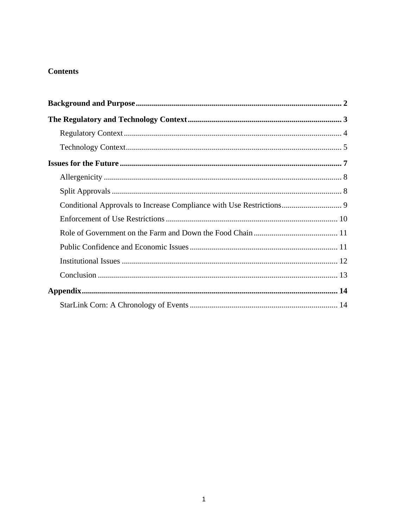# **Contents**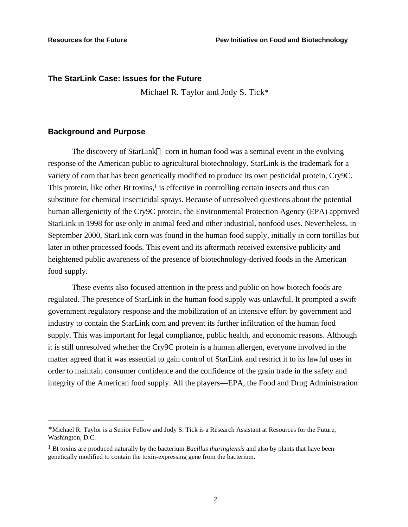### **The StarLink Case: Issues for the Future**

Michael R. Taylor and Jody S. Tick<sup>∗</sup>

### **Background and Purpose**

1

The discovery of StarLink<sup> $TM$ </sup> corn in human food was a seminal event in the evolving response of the American public to agricultural biotechnology. StarLink is the trademark for a variety of corn that has been genetically modified to produce its own pesticidal protein, Cry9C. This protein, like other Bt toxins, $\frac{1}{2}$  is effective in controlling certain insects and thus can substitute for chemical insecticidal sprays. Because of unresolved questions about the potential human allergenicity of the Cry9C protein, the Environmental Protection Agency (EPA) approved StarLink in 1998 for use only in animal feed and other industrial, nonfood uses. Nevertheless, in September 2000, StarLink corn was found in the human food supply, initially in corn tortillas but later in other processed foods. This event and its aftermath received extensive publicity and heightened public awareness of the presence of biotechnology-derived foods in the American food supply.

These events also focused attention in the press and public on how biotech foods are regulated. The presence of StarLink in the human food supply was unlawful. It prompted a swift government regulatory response and the mobilization of an intensive effort by government and industry to contain the StarLink corn and prevent its further infiltration of the human food supply. This was important for legal compliance, public health, and economic reasons. Although it is still unresolved whether the Cry9C protein is a human allergen, everyone involved in the matter agreed that it was essential to gain control of StarLink and restrict it to its lawful uses in order to maintain consumer confidence and the confidence of the grain trade in the safety and integrity of the American food supply. All the players—EPA, the Food and Drug Administration

<sup>∗</sup> Michael R. Taylor is a Senior Fellow and Jody S. Tick is a Research Assistant at Resources for the Future, Washington, D.C.

<sup>1</sup> Bt toxins are produced naturally by the bacterium *Bacillus thuringiensis* and also by plants that have been genetically modified to contain the toxin-expressing gene from the bacterium.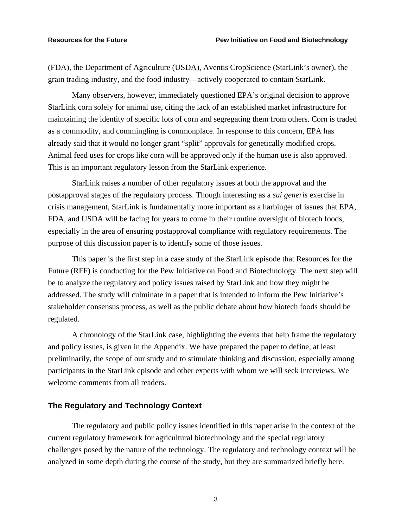(FDA), the Department of Agriculture (USDA), Aventis CropScience (StarLink's owner), the grain trading industry, and the food industry—actively cooperated to contain StarLink.

Many observers, however, immediately questioned EPA's original decision to approve StarLink corn solely for animal use, citing the lack of an established market infrastructure for maintaining the identity of specific lots of corn and segregating them from others. Corn is traded as a commodity, and commingling is commonplace. In response to this concern, EPA has already said that it would no longer grant "split" approvals for genetically modified crops. Animal feed uses for crops like corn will be approved only if the human use is also approved. This is an important regulatory lesson from the StarLink experience.

StarLink raises a number of other regulatory issues at both the approval and the postapproval stages of the regulatory process. Though interesting as a *sui generis* exercise in crisis management, StarLink is fundamentally more important as a harbinger of issues that EPA, FDA, and USDA will be facing for years to come in their routine oversight of biotech foods, especially in the area of ensuring postapproval compliance with regulatory requirements. The purpose of this discussion paper is to identify some of those issues.

This paper is the first step in a case study of the StarLink episode that Resources for the Future (RFF) is conducting for the Pew Initiative on Food and Biotechnology. The next step will be to analyze the regulatory and policy issues raised by StarLink and how they might be addressed. The study will culminate in a paper that is intended to inform the Pew Initiative's stakeholder consensus process, as well as the public debate about how biotech foods should be regulated.

A chronology of the StarLink case, highlighting the events that help frame the regulatory and policy issues, is given in the Appendix. We have prepared the paper to define, at least preliminarily, the scope of our study and to stimulate thinking and discussion, especially among participants in the StarLink episode and other experts with whom we will seek interviews. We welcome comments from all readers.

### **The Regulatory and Technology Context**

The regulatory and public policy issues identified in this paper arise in the context of the current regulatory framework for agricultural biotechnology and the special regulatory challenges posed by the nature of the technology. The regulatory and technology context will be analyzed in some depth during the course of the study, but they are summarized briefly here.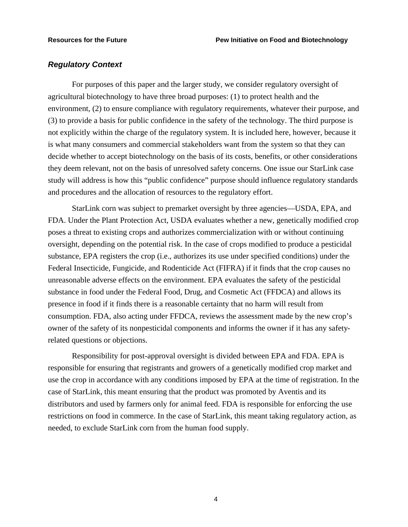### *Regulatory Context*

For purposes of this paper and the larger study, we consider regulatory oversight of agricultural biotechnology to have three broad purposes: (1) to protect health and the environment, (2) to ensure compliance with regulatory requirements, whatever their purpose, and (3) to provide a basis for public confidence in the safety of the technology. The third purpose is not explicitly within the charge of the regulatory system. It is included here, however, because it is what many consumers and commercial stakeholders want from the system so that they can decide whether to accept biotechnology on the basis of its costs, benefits, or other considerations they deem relevant, not on the basis of unresolved safety concerns. One issue our StarLink case study will address is how this "public confidence" purpose should influence regulatory standards and procedures and the allocation of resources to the regulatory effort.

StarLink corn was subject to premarket oversight by three agencies—USDA, EPA, and FDA. Under the Plant Protection Act, USDA evaluates whether a new, genetically modified crop poses a threat to existing crops and authorizes commercialization with or without continuing oversight, depending on the potential risk. In the case of crops modified to produce a pesticidal substance, EPA registers the crop (i.e., authorizes its use under specified conditions) under the Federal Insecticide, Fungicide, and Rodenticide Act (FIFRA) if it finds that the crop causes no unreasonable adverse effects on the environment. EPA evaluates the safety of the pesticidal substance in food under the Federal Food, Drug, and Cosmetic Act (FFDCA) and allows its presence in food if it finds there is a reasonable certainty that no harm will result from consumption. FDA, also acting under FFDCA, reviews the assessment made by the new crop's owner of the safety of its nonpesticidal components and informs the owner if it has any safetyrelated questions or objections.

Responsibility for post-approval oversight is divided between EPA and FDA. EPA is responsible for ensuring that registrants and growers of a genetically modified crop market and use the crop in accordance with any conditions imposed by EPA at the time of registration. In the case of StarLink, this meant ensuring that the product was promoted by Aventis and its distributors and used by farmers only for animal feed. FDA is responsible for enforcing the use restrictions on food in commerce. In the case of StarLink, this meant taking regulatory action, as needed, to exclude StarLink corn from the human food supply.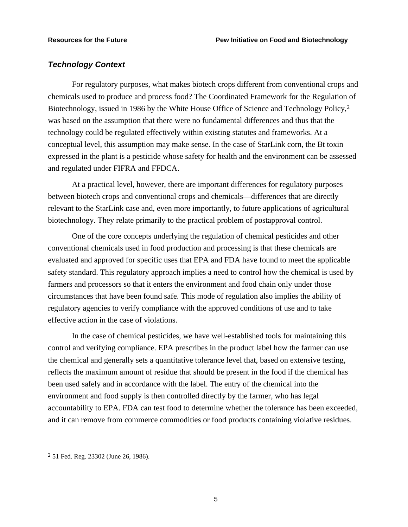### *Technology Context*

For regulatory purposes, what makes biotech crops different from conventional crops and chemicals used to produce and process food? The Coordinated Framework for the Regulation of Biotechnology, issued in 1986 by the White House Office of Science and Technology Policy,<sup>2</sup> was based on the assumption that there were no fundamental differences and thus that the technology could be regulated effectively within existing statutes and frameworks. At a conceptual level, this assumption may make sense. In the case of StarLink corn, the Bt toxin expressed in the plant is a pesticide whose safety for health and the environment can be assessed and regulated under FIFRA and FFDCA.

At a practical level, however, there are important differences for regulatory purposes between biotech crops and conventional crops and chemicals—differences that are directly relevant to the StarLink case and, even more importantly, to future applications of agricultural biotechnology. They relate primarily to the practical problem of postapproval control.

One of the core concepts underlying the regulation of chemical pesticides and other conventional chemicals used in food production and processing is that these chemicals are evaluated and approved for specific uses that EPA and FDA have found to meet the applicable safety standard. This regulatory approach implies a need to control how the chemical is used by farmers and processors so that it enters the environment and food chain only under those circumstances that have been found safe. This mode of regulation also implies the ability of regulatory agencies to verify compliance with the approved conditions of use and to take effective action in the case of violations.

In the case of chemical pesticides, we have well-established tools for maintaining this control and verifying compliance. EPA prescribes in the product label how the farmer can use the chemical and generally sets a quantitative tolerance level that, based on extensive testing, reflects the maximum amount of residue that should be present in the food if the chemical has been used safely and in accordance with the label. The entry of the chemical into the environment and food supply is then controlled directly by the farmer, who has legal accountability to EPA. FDA can test food to determine whether the tolerance has been exceeded, and it can remove from commerce commodities or food products containing violative residues.

<u>.</u>

<sup>2</sup> 51 Fed. Reg. 23302 (June 26, 1986).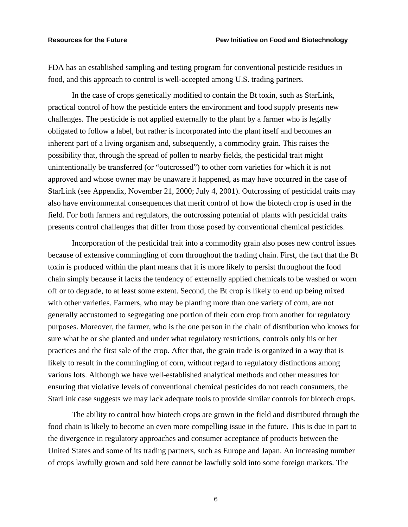FDA has an established sampling and testing program for conventional pesticide residues in food, and this approach to control is well-accepted among U.S. trading partners.

In the case of crops genetically modified to contain the Bt toxin, such as StarLink, practical control of how the pesticide enters the environment and food supply presents new challenges. The pesticide is not applied externally to the plant by a farmer who is legally obligated to follow a label, but rather is incorporated into the plant itself and becomes an inherent part of a living organism and, subsequently, a commodity grain. This raises the possibility that, through the spread of pollen to nearby fields, the pesticidal trait might unintentionally be transferred (or "outcrossed") to other corn varieties for which it is not approved and whose owner may be unaware it happened, as may have occurred in the case of StarLink (see Appendix, November 21, 2000; July 4, 2001). Outcrossing of pesticidal traits may also have environmental consequences that merit control of how the biotech crop is used in the field. For both farmers and regulators, the outcrossing potential of plants with pesticidal traits presents control challenges that differ from those posed by conventional chemical pesticides.

Incorporation of the pesticidal trait into a commodity grain also poses new control issues because of extensive commingling of corn throughout the trading chain. First, the fact that the Bt toxin is produced within the plant means that it is more likely to persist throughout the food chain simply because it lacks the tendency of externally applied chemicals to be washed or worn off or to degrade, to at least some extent. Second, the Bt crop is likely to end up being mixed with other varieties. Farmers, who may be planting more than one variety of corn, are not generally accustomed to segregating one portion of their corn crop from another for regulatory purposes. Moreover, the farmer, who is the one person in the chain of distribution who knows for sure what he or she planted and under what regulatory restrictions, controls only his or her practices and the first sale of the crop. After that, the grain trade is organized in a way that is likely to result in the commingling of corn, without regard to regulatory distinctions among various lots. Although we have well-established analytical methods and other measures for ensuring that violative levels of conventional chemical pesticides do not reach consumers, the StarLink case suggests we may lack adequate tools to provide similar controls for biotech crops.

The ability to control how biotech crops are grown in the field and distributed through the food chain is likely to become an even more compelling issue in the future. This is due in part to the divergence in regulatory approaches and consumer acceptance of products between the United States and some of its trading partners, such as Europe and Japan. An increasing number of crops lawfully grown and sold here cannot be lawfully sold into some foreign markets. The

6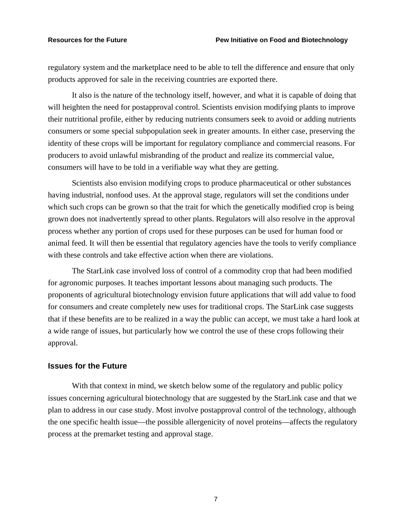regulatory system and the marketplace need to be able to tell the difference and ensure that only products approved for sale in the receiving countries are exported there.

It also is the nature of the technology itself, however, and what it is capable of doing that will heighten the need for postapproval control. Scientists envision modifying plants to improve their nutritional profile, either by reducing nutrients consumers seek to avoid or adding nutrients consumers or some special subpopulation seek in greater amounts. In either case, preserving the identity of these crops will be important for regulatory compliance and commercial reasons. For producers to avoid unlawful misbranding of the product and realize its commercial value, consumers will have to be told in a verifiable way what they are getting.

Scientists also envision modifying crops to produce pharmaceutical or other substances having industrial, nonfood uses. At the approval stage, regulators will set the conditions under which such crops can be grown so that the trait for which the genetically modified crop is being grown does not inadvertently spread to other plants. Regulators will also resolve in the approval process whether any portion of crops used for these purposes can be used for human food or animal feed. It will then be essential that regulatory agencies have the tools to verify compliance with these controls and take effective action when there are violations.

The StarLink case involved loss of control of a commodity crop that had been modified for agronomic purposes. It teaches important lessons about managing such products. The proponents of agricultural biotechnology envision future applications that will add value to food for consumers and create completely new uses for traditional crops. The StarLink case suggests that if these benefits are to be realized in a way the public can accept, we must take a hard look at a wide range of issues, but particularly how we control the use of these crops following their approval.

### **Issues for the Future**

With that context in mind, we sketch below some of the regulatory and public policy issues concerning agricultural biotechnology that are suggested by the StarLink case and that we plan to address in our case study. Most involve postapproval control of the technology, although the one specific health issue—the possible allergenicity of novel proteins—affects the regulatory process at the premarket testing and approval stage.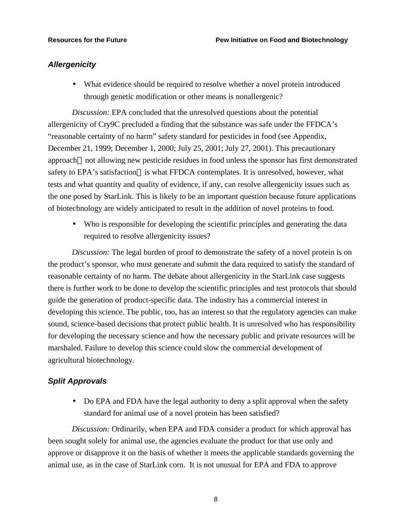# *Allergenicity*

• What evidence should be required to resolve whether a novel protein introduced through genetic modification or other means is nonallergenic?

*Discussion:* EPA concluded that the unresolved questions about the potential allergenicity of Cry9C precluded a finding that the substance was safe under the FFDCA's "reasonable certainty of no harm" safety standard for pesticides in food (see Appendix, December 21, 1999; December 1, 2000; July 25, 2001; July 27, 2001). This precautionary approach—not allowing new pesticide residues in food unless the sponsor has first demonstrated safety to EPA's satisfaction—is what FFDCA contemplates. It is unresolved, however, what tests and what quantity and quality of evidence, if any, can resolve allergenicity issues such as the one posed by StarLink. This is likely to be an important question because future applications of biotechnology are widely anticipated to result in the addition of novel proteins to food.

• Who is responsible for developing the scientific principles and generating the data required to resolve allergenicity issues?

*Discussion:* The legal burden of proof to demonstrate the safety of a novel protein is on the product's sponsor, who must generate and submit the data required to satisfy the standard of reasonable certainty of no harm. The debate about allergenicity in the StarLink case suggests there is further work to be done to develop the scientific principles and test protocols that should guide the generation of product-specific data. The industry has a commercial interest in developing this science. The public, too, has an interest so that the regulatory agencies can make sound, science-based decisions that protect public health. It is unresolved who has responsibility for developing the necessary science and how the necessary public and private resources will be marshaled. Failure to develop this science could slow the commercial development of agricultural biotechnology.

### *Split Approvals*

• Do EPA and FDA have the legal authority to deny a split approval when the safety standard for animal use of a novel protein has been satisfied?

*Discussion:* Ordinarily, when EPA and FDA consider a product for which approval has been sought solely for animal use, the agencies evaluate the product for that use only and approve or disapprove it on the basis of whether it meets the applicable standards governing the animal use, as in the case of StarLink corn. It is not unusual for EPA and FDA to approve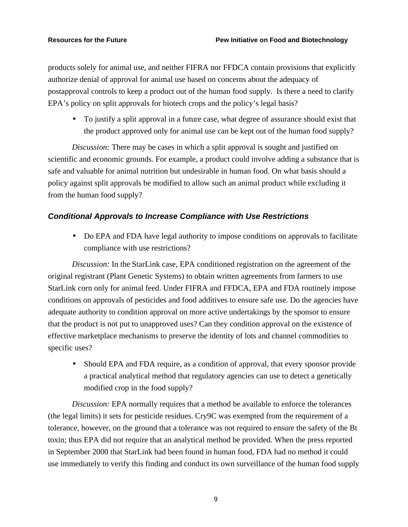products solely for animal use, and neither FIFRA nor FFDCA contain provisions that explicitly authorize denial of approval for animal use based on concerns about the adequacy of postapproval controls to keep a product out of the human food supply. Is there a need to clarify EPA's policy on split approvals for biotech crops and the policy's legal basis?

• To justify a split approval in a future case, what degree of assurance should exist that the product approved only for animal use can be kept out of the human food supply?

*Discussion:* There may be cases in which a split approval is sought and justified on scientific and economic grounds. For example, a product could involve adding a substance that is safe and valuable for animal nutrition but undesirable in human food. On what basis should a policy against split approvals be modified to allow such an animal product while excluding it from the human food supply?

# *Conditional Approvals to Increase Compliance with Use Restrictions*

• Do EPA and FDA have legal authority to impose conditions on approvals to facilitate compliance with use restrictions?

*Discussion:* In the StarLink case, EPA conditioned registration on the agreement of the original registrant (Plant Genetic Systems) to obtain written agreements from farmers to use StarLink corn only for animal feed. Under FIFRA and FFDCA, EPA and FDA routinely impose conditions on approvals of pesticides and food additives to ensure safe use. Do the agencies have adequate authority to condition approval on more active undertakings by the sponsor to ensure that the product is not put to unapproved uses? Can they condition approval on the existence of effective marketplace mechanisms to preserve the identity of lots and channel commodities to specific uses?

• Should EPA and FDA require, as a condition of approval, that every sponsor provide a practical analytical method that regulatory agencies can use to detect a genetically modified crop in the food supply?

*Discussion:* EPA normally requires that a method be available to enforce the tolerances (the legal limits) it sets for pesticide residues. Cry9C was exempted from the requirement of a tolerance, however, on the ground that a tolerance was not required to ensure the safety of the Bt toxin; thus EPA did not require that an analytical method be provided. When the press reported in September 2000 that StarLink had been found in human food, FDA had no method it could use immediately to verify this finding and conduct its own surveillance of the human food supply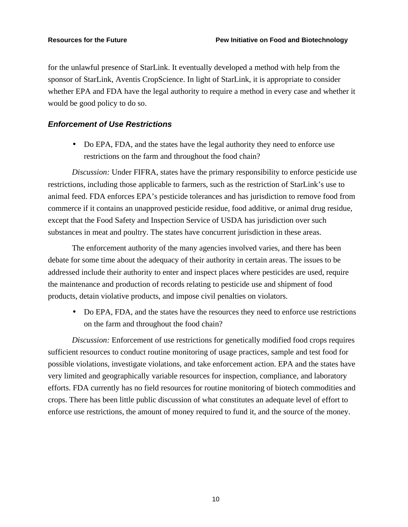for the unlawful presence of StarLink. It eventually developed a method with help from the sponsor of StarLink, Aventis CropScience. In light of StarLink, it is appropriate to consider whether EPA and FDA have the legal authority to require a method in every case and whether it would be good policy to do so.

# *Enforcement of Use Restrictions*

• Do EPA, FDA, and the states have the legal authority they need to enforce use restrictions on the farm and throughout the food chain?

*Discussion:* Under FIFRA, states have the primary responsibility to enforce pesticide use restrictions, including those applicable to farmers, such as the restriction of StarLink's use to animal feed. FDA enforces EPA's pesticide tolerances and has jurisdiction to remove food from commerce if it contains an unapproved pesticide residue, food additive, or animal drug residue, except that the Food Safety and Inspection Service of USDA has jurisdiction over such substances in meat and poultry. The states have concurrent jurisdiction in these areas.

The enforcement authority of the many agencies involved varies, and there has been debate for some time about the adequacy of their authority in certain areas. The issues to be addressed include their authority to enter and inspect places where pesticides are used, require the maintenance and production of records relating to pesticide use and shipment of food products, detain violative products, and impose civil penalties on violators.

• Do EPA, FDA, and the states have the resources they need to enforce use restrictions on the farm and throughout the food chain?

*Discussion:* Enforcement of use restrictions for genetically modified food crops requires sufficient resources to conduct routine monitoring of usage practices, sample and test food for possible violations, investigate violations, and take enforcement action. EPA and the states have very limited and geographically variable resources for inspection, compliance, and laboratory efforts. FDA currently has no field resources for routine monitoring of biotech commodities and crops. There has been little public discussion of what constitutes an adequate level of effort to enforce use restrictions, the amount of money required to fund it, and the source of the money.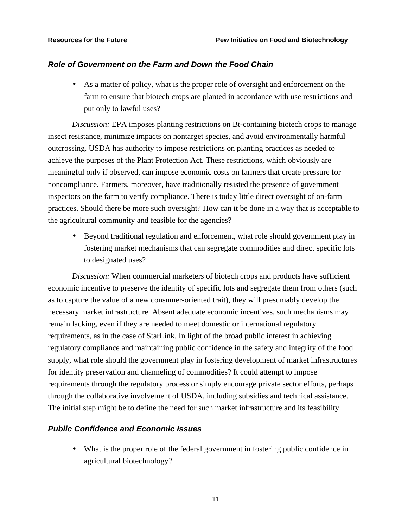### *Role of Government on the Farm and Down the Food Chain*

• As a matter of policy, what is the proper role of oversight and enforcement on the farm to ensure that biotech crops are planted in accordance with use restrictions and put only to lawful uses?

*Discussion:* EPA imposes planting restrictions on Bt-containing biotech crops to manage insect resistance, minimize impacts on nontarget species, and avoid environmentally harmful outcrossing. USDA has authority to impose restrictions on planting practices as needed to achieve the purposes of the Plant Protection Act. These restrictions, which obviously are meaningful only if observed, can impose economic costs on farmers that create pressure for noncompliance. Farmers, moreover, have traditionally resisted the presence of government inspectors on the farm to verify compliance. There is today little direct oversight of on-farm practices. Should there be more such oversight? How can it be done in a way that is acceptable to the agricultural community and feasible for the agencies?

• Beyond traditional regulation and enforcement, what role should government play in fostering market mechanisms that can segregate commodities and direct specific lots to designated uses?

*Discussion:* When commercial marketers of biotech crops and products have sufficient economic incentive to preserve the identity of specific lots and segregate them from others (such as to capture the value of a new consumer-oriented trait), they will presumably develop the necessary market infrastructure. Absent adequate economic incentives, such mechanisms may remain lacking, even if they are needed to meet domestic or international regulatory requirements, as in the case of StarLink. In light of the broad public interest in achieving regulatory compliance and maintaining public confidence in the safety and integrity of the food supply, what role should the government play in fostering development of market infrastructures for identity preservation and channeling of commodities? It could attempt to impose requirements through the regulatory process or simply encourage private sector efforts, perhaps through the collaborative involvement of USDA, including subsidies and technical assistance. The initial step might be to define the need for such market infrastructure and its feasibility.

# *Public Confidence and Economic Issues*

• What is the proper role of the federal government in fostering public confidence in agricultural biotechnology?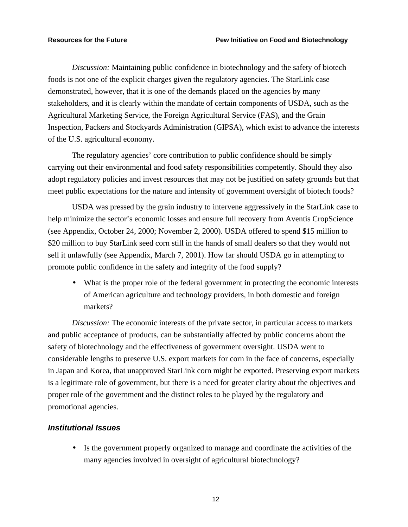*Discussion:* Maintaining public confidence in biotechnology and the safety of biotech foods is not one of the explicit charges given the regulatory agencies. The StarLink case demonstrated, however, that it is one of the demands placed on the agencies by many stakeholders, and it is clearly within the mandate of certain components of USDA, such as the Agricultural Marketing Service, the Foreign Agricultural Service (FAS), and the Grain Inspection, Packers and Stockyards Administration (GIPSA), which exist to advance the interests of the U.S. agricultural economy.

The regulatory agencies' core contribution to public confidence should be simply carrying out their environmental and food safety responsibilities competently. Should they also adopt regulatory policies and invest resources that may not be justified on safety grounds but that meet public expectations for the nature and intensity of government oversight of biotech foods?

USDA was pressed by the grain industry to intervene aggressively in the StarLink case to help minimize the sector's economic losses and ensure full recovery from Aventis CropScience (see Appendix, October 24, 2000; November 2, 2000). USDA offered to spend \$15 million to \$20 million to buy StarLink seed corn still in the hands of small dealers so that they would not sell it unlawfully (see Appendix, March 7, 2001). How far should USDA go in attempting to promote public confidence in the safety and integrity of the food supply?

• What is the proper role of the federal government in protecting the economic interests of American agriculture and technology providers, in both domestic and foreign markets?

*Discussion:* The economic interests of the private sector, in particular access to markets and public acceptance of products, can be substantially affected by public concerns about the safety of biotechnology and the effectiveness of government oversight. USDA went to considerable lengths to preserve U.S. export markets for corn in the face of concerns, especially in Japan and Korea, that unapproved StarLink corn might be exported. Preserving export markets is a legitimate role of government, but there is a need for greater clarity about the objectives and proper role of the government and the distinct roles to be played by the regulatory and promotional agencies.

### *Institutional Issues*

• Is the government properly organized to manage and coordinate the activities of the many agencies involved in oversight of agricultural biotechnology?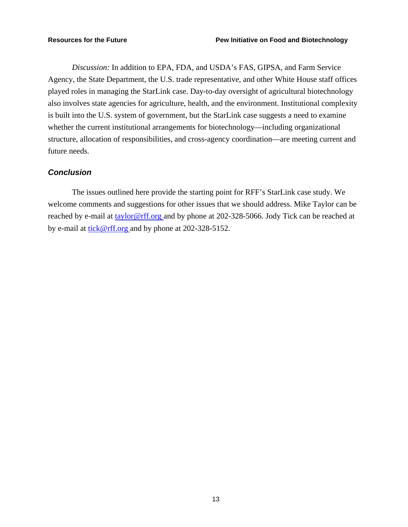*Discussion:* In addition to EPA, FDA, and USDA's FAS, GIPSA, and Farm Service Agency, the State Department, the U.S. trade representative, and other White House staff offices played roles in managing the StarLink case. Day-to-day oversight of agricultural biotechnology also involves state agencies for agriculture, health, and the environment. Institutional complexity is built into the U.S. system of government, but the StarLink case suggests a need to examine whether the current institutional arrangements for biotechnology—including organizational structure, allocation of responsibilities, and cross-agency coordination—are meeting current and future needs.

# *Conclusion*

The issues outlined here provide the starting point for RFF's StarLink case study. We welcome comments and suggestions for other issues that we should address. Mike Taylor can be reached by e-mail at taylor@rff.org and by phone at 202-328-5066. Jody Tick can be reached at by e-mail at tick@rff.org and by phone at 202-328-5152.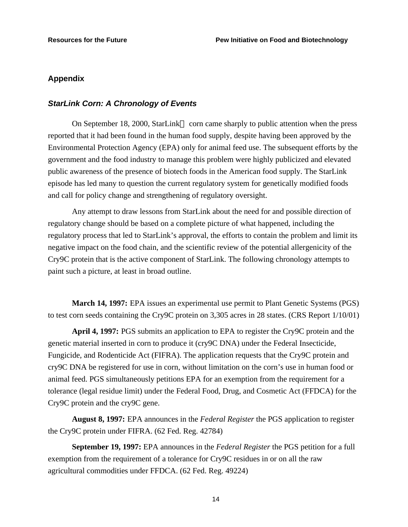# **Appendix**

### *StarLink Corn: A Chronology of Events*

On September 18, 2000, StarLink<sup>TM</sup> corn came sharply to public attention when the press reported that it had been found in the human food supply, despite having been approved by the Environmental Protection Agency (EPA) only for animal feed use. The subsequent efforts by the government and the food industry to manage this problem were highly publicized and elevated public awareness of the presence of biotech foods in the American food supply. The StarLink episode has led many to question the current regulatory system for genetically modified foods and call for policy change and strengthening of regulatory oversight.

Any attempt to draw lessons from StarLink about the need for and possible direction of regulatory change should be based on a complete picture of what happened, including the regulatory process that led to StarLink's approval, the efforts to contain the problem and limit its negative impact on the food chain, and the scientific review of the potential allergenicity of the Cry9C protein that is the active component of StarLink. The following chronology attempts to paint such a picture, at least in broad outline.

**March 14, 1997:** EPA issues an experimental use permit to Plant Genetic Systems (PGS) to test corn seeds containing the Cry9C protein on 3,305 acres in 28 states. (CRS Report 1/10/01)

**April 4, 1997:** PGS submits an application to EPA to register the Cry9C protein and the genetic material inserted in corn to produce it (cry9C DNA) under the Federal Insecticide, Fungicide, and Rodenticide Act (FIFRA). The application requests that the Cry9C protein and cry9C DNA be registered for use in corn, without limitation on the corn's use in human food or animal feed. PGS simultaneously petitions EPA for an exemption from the requirement for a tolerance (legal residue limit) under the Federal Food, Drug, and Cosmetic Act (FFDCA) for the Cry9C protein and the cry9C gene.

**August 8, 1997:** EPA announces in the *Federal Register* the PGS application to register the Cry9C protein under FIFRA. (62 Fed. Reg. 42784)

**September 19, 1997:** EPA announces in the *Federal Register* the PGS petition for a full exemption from the requirement of a tolerance for Cry9C residues in or on all the raw agricultural commodities under FFDCA. (62 Fed. Reg. 49224)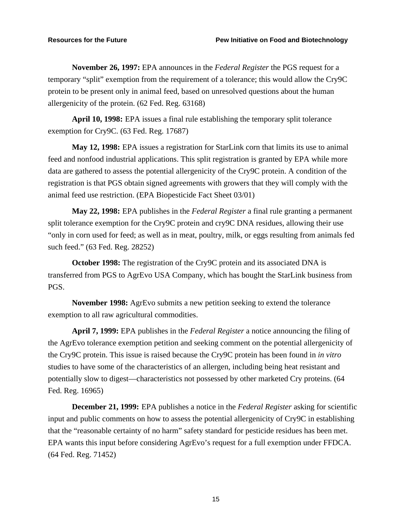**November 26, 1997:** EPA announces in the *Federal Register* the PGS request for a temporary "split" exemption from the requirement of a tolerance; this would allow the Cry9C protein to be present only in animal feed, based on unresolved questions about the human allergenicity of the protein. (62 Fed. Reg. 63168)

**April 10, 1998:** EPA issues a final rule establishing the temporary split tolerance exemption for Cry9C. (63 Fed. Reg. 17687)

**May 12, 1998:** EPA issues a registration for StarLink corn that limits its use to animal feed and nonfood industrial applications. This split registration is granted by EPA while more data are gathered to assess the potential allergenicity of the Cry9C protein. A condition of the registration is that PGS obtain signed agreements with growers that they will comply with the animal feed use restriction. (EPA Biopesticide Fact Sheet 03/01)

**May 22, 1998:** EPA publishes in the *Federal Register* a final rule granting a permanent split tolerance exemption for the Cry9C protein and cry9C DNA residues, allowing their use "only in corn used for feed; as well as in meat, poultry, milk, or eggs resulting from animals fed such feed." (63 Fed. Reg. 28252)

**October 1998:** The registration of the Cry9C protein and its associated DNA is transferred from PGS to AgrEvo USA Company, which has bought the StarLink business from PGS.

**November 1998:** AgrEvo submits a new petition seeking to extend the tolerance exemption to all raw agricultural commodities.

**April 7, 1999:** EPA publishes in the *Federal Register* a notice announcing the filing of the AgrEvo tolerance exemption petition and seeking comment on the potential allergenicity of the Cry9C protein. This issue is raised because the Cry9C protein has been found in *in vitro* studies to have some of the characteristics of an allergen, including being heat resistant and potentially slow to digest—characteristics not possessed by other marketed Cry proteins. (64 Fed. Reg. 16965)

**December 21, 1999:** EPA publishes a notice in the *Federal Register* asking for scientific input and public comments on how to assess the potential allergenicity of Cry9C in establishing that the "reasonable certainty of no harm" safety standard for pesticide residues has been met. EPA wants this input before considering AgrEvo's request for a full exemption under FFDCA. (64 Fed. Reg. 71452)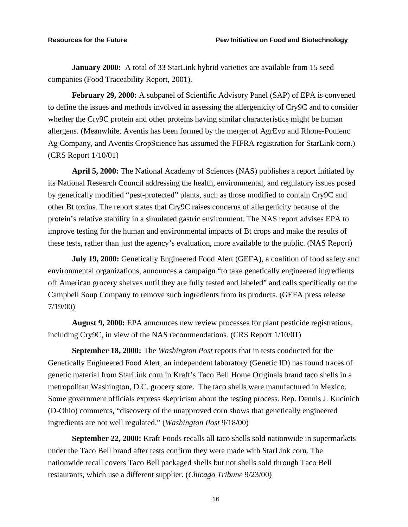**January 2000:** A total of 33 StarLink hybrid varieties are available from 15 seed companies (Food Traceability Report, 2001).

**February 29, 2000:** A subpanel of Scientific Advisory Panel (SAP) of EPA is convened to define the issues and methods involved in assessing the allergenicity of Cry9C and to consider whether the Cry9C protein and other proteins having similar characteristics might be human allergens. (Meanwhile, Aventis has been formed by the merger of AgrEvo and Rhone-Poulenc Ag Company, and Aventis CropScience has assumed the FIFRA registration for StarLink corn.) (CRS Report 1/10/01)

**April 5, 2000:** The National Academy of Sciences (NAS) publishes a report initiated by its National Research Council addressing the health, environmental, and regulatory issues posed by genetically modified "pest-protected" plants, such as those modified to contain Cry9C and other Bt toxins. The report states that Cry9C raises concerns of allergenicity because of the protein's relative stability in a simulated gastric environment. The NAS report advises EPA to improve testing for the human and environmental impacts of Bt crops and make the results of these tests, rather than just the agency's evaluation, more available to the public. (NAS Report)

**July 19, 2000:** Genetically Engineered Food Alert (GEFA), a coalition of food safety and environmental organizations, announces a campaign "to take genetically engineered ingredients off American grocery shelves until they are fully tested and labeled" and calls specifically on the Campbell Soup Company to remove such ingredients from its products. (GEFA press release 7/19/00)

**August 9, 2000:** EPA announces new review processes for plant pesticide registrations, including Cry9C, in view of the NAS recommendations. (CRS Report 1/10/01)

**September 18, 2000:** The *Washington Post* reports that in tests conducted for the Genetically Engineered Food Alert, an independent laboratory (Genetic ID) has found traces of genetic material from StarLink corn in Kraft's Taco Bell Home Originals brand taco shells in a metropolitan Washington, D.C. grocery store. The taco shells were manufactured in Mexico. Some government officials express skepticism about the testing process. Rep. Dennis J. Kucinich (D-Ohio) comments, "discovery of the unapproved corn shows that genetically engineered ingredients are not well regulated." (*Washington Post* 9/18/00)

**September 22, 2000:** Kraft Foods recalls all taco shells sold nationwide in supermarkets under the Taco Bell brand after tests confirm they were made with StarLink corn. The nationwide recall covers Taco Bell packaged shells but not shells sold through Taco Bell restaurants, which use a different supplier. (*Chicago Tribune* 9/23/00)

16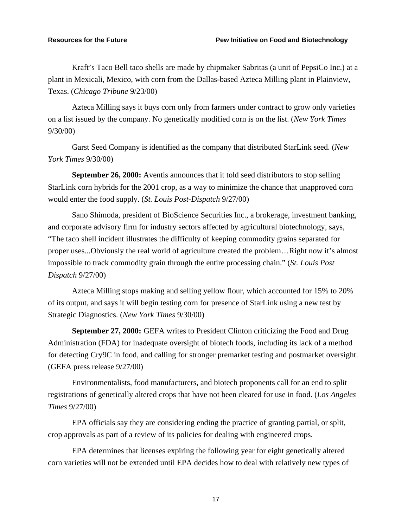Kraft's Taco Bell taco shells are made by chipmaker Sabritas (a unit of PepsiCo Inc.) at a plant in Mexicali, Mexico, with corn from the Dallas-based Azteca Milling plant in Plainview, Texas. (*Chicago Tribune* 9/23/00)

Azteca Milling says it buys corn only from farmers under contract to grow only varieties on a list issued by the company. No genetically modified corn is on the list. (*New York Times* 9/30/00)

Garst Seed Company is identified as the company that distributed StarLink seed. (*New York Times* 9/30/00)

**September 26, 2000:** Aventis announces that it told seed distributors to stop selling StarLink corn hybrids for the 2001 crop, as a way to minimize the chance that unapproved corn would enter the food supply. (*St. Louis Post-Dispatch* 9/27/00)

Sano Shimoda, president of BioScience Securities Inc., a brokerage, investment banking, and corporate advisory firm for industry sectors affected by agricultural biotechnology, says, "The taco shell incident illustrates the difficulty of keeping commodity grains separated for proper uses...Obviously the real world of agriculture created the problem…Right now it's almost impossible to track commodity grain through the entire processing chain." (*St. Louis Post Dispatch* 9/27/00)

Azteca Milling stops making and selling yellow flour, which accounted for 15% to 20% of its output, and says it will begin testing corn for presence of StarLink using a new test by Strategic Diagnostics. (*New York Times* 9/30/00)

**September 27, 2000:** GEFA writes to President Clinton criticizing the Food and Drug Administration (FDA) for inadequate oversight of biotech foods, including its lack of a method for detecting Cry9C in food, and calling for stronger premarket testing and postmarket oversight. (GEFA press release 9/27/00)

Environmentalists, food manufacturers, and biotech proponents call for an end to split registrations of genetically altered crops that have not been cleared for use in food. (*Los Angeles Times* 9/27/00)

EPA officials say they are considering ending the practice of granting partial, or split, crop approvals as part of a review of its policies for dealing with engineered crops.

EPA determines that licenses expiring the following year for eight genetically altered corn varieties will not be extended until EPA decides how to deal with relatively new types of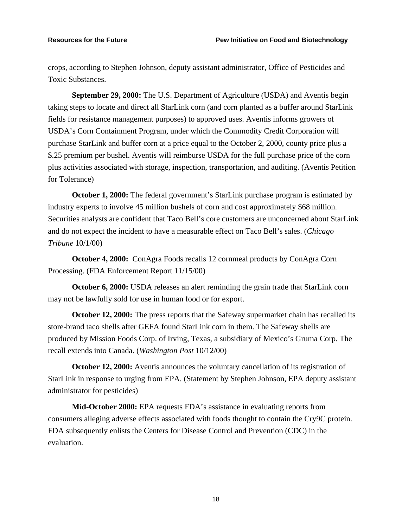crops, according to Stephen Johnson, deputy assistant administrator, Office of Pesticides and Toxic Substances.

**September 29, 2000:** The U.S. Department of Agriculture (USDA) and Aventis begin taking steps to locate and direct all StarLink corn (and corn planted as a buffer around StarLink fields for resistance management purposes) to approved uses. Aventis informs growers of USDA's Corn Containment Program, under which the Commodity Credit Corporation will purchase StarLink and buffer corn at a price equal to the October 2, 2000, county price plus a \$.25 premium per bushel. Aventis will reimburse USDA for the full purchase price of the corn plus activities associated with storage, inspection, transportation, and auditing. (Aventis Petition for Tolerance)

**October 1, 2000:** The federal government's StarLink purchase program is estimated by industry experts to involve 45 million bushels of corn and cost approximately \$68 million. Securities analysts are confident that Taco Bell's core customers are unconcerned about StarLink and do not expect the incident to have a measurable effect on Taco Bell's sales. (*Chicago Tribune* 10/1/00)

**October 4, 2000:** ConAgra Foods recalls 12 cornmeal products by ConAgra Corn Processing. (FDA Enforcement Report 11/15/00)

**October 6, 2000:** USDA releases an alert reminding the grain trade that StarLink corn may not be lawfully sold for use in human food or for export.

**October 12, 2000:** The press reports that the Safeway supermarket chain has recalled its store-brand taco shells after GEFA found StarLink corn in them. The Safeway shells are produced by Mission Foods Corp. of Irving, Texas, a subsidiary of Mexico's Gruma Corp. The recall extends into Canada. (*Washington Post* 10/12/00)

**October 12, 2000:** Aventis announces the voluntary cancellation of its registration of StarLink in response to urging from EPA. (Statement by Stephen Johnson, EPA deputy assistant administrator for pesticides)

**Mid-October 2000:** EPA requests FDA's assistance in evaluating reports from consumers alleging adverse effects associated with foods thought to contain the Cry9C protein. FDA subsequently enlists the Centers for Disease Control and Prevention (CDC) in the evaluation.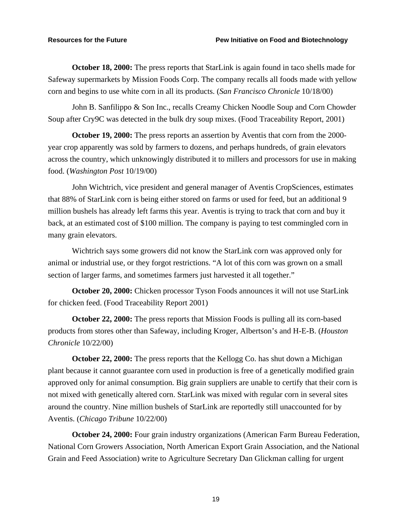**October 18, 2000:** The press reports that StarLink is again found in taco shells made for Safeway supermarkets by Mission Foods Corp. The company recalls all foods made with yellow corn and begins to use white corn in all its products. (*San Francisco Chronicle* 10/18/00)

John B. Sanfilippo & Son Inc., recalls Creamy Chicken Noodle Soup and Corn Chowder Soup after Cry9C was detected in the bulk dry soup mixes. (Food Traceability Report, 2001)

**October 19, 2000:** The press reports an assertion by Aventis that corn from the 2000 year crop apparently was sold by farmers to dozens, and perhaps hundreds, of grain elevators across the country, which unknowingly distributed it to millers and processors for use in making food. (*Washington Post* 10/19/00)

John Wichtrich, vice president and general manager of Aventis CropSciences, estimates that 88% of StarLink corn is being either stored on farms or used for feed, but an additional 9 million bushels has already left farms this year. Aventis is trying to track that corn and buy it back, at an estimated cost of \$100 million. The company is paying to test commingled corn in many grain elevators.

Wichtrich says some growers did not know the StarLink corn was approved only for animal or industrial use, or they forgot restrictions. "A lot of this corn was grown on a small section of larger farms, and sometimes farmers just harvested it all together."

**October 20, 2000:** Chicken processor Tyson Foods announces it will not use StarLink for chicken feed. (Food Traceability Report 2001)

**October 22, 2000:** The press reports that Mission Foods is pulling all its corn-based products from stores other than Safeway, including Kroger, Albertson's and H-E-B. (*Houston Chronicle* 10/22/00)

**October 22, 2000:** The press reports that the Kellogg Co. has shut down a Michigan plant because it cannot guarantee corn used in production is free of a genetically modified grain approved only for animal consumption. Big grain suppliers are unable to certify that their corn is not mixed with genetically altered corn. StarLink was mixed with regular corn in several sites around the country. Nine million bushels of StarLink are reportedly still unaccounted for by Aventis. (*Chicago Tribune* 10/22/00)

**October 24, 2000:** Four grain industry organizations (American Farm Bureau Federation, National Corn Growers Association, North American Export Grain Association, and the National Grain and Feed Association) write to Agriculture Secretary Dan Glickman calling for urgent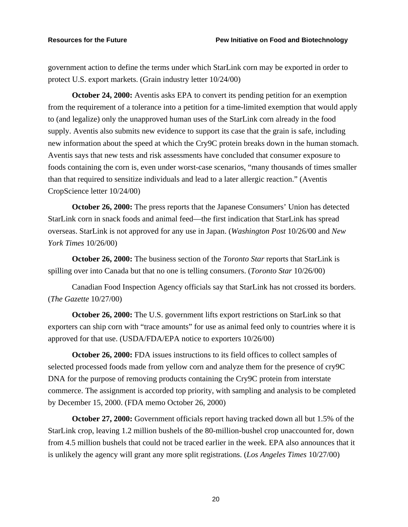government action to define the terms under which StarLink corn may be exported in order to protect U.S. export markets. (Grain industry letter 10/24/00)

**October 24, 2000:** Aventis asks EPA to convert its pending petition for an exemption from the requirement of a tolerance into a petition for a time-limited exemption that would apply to (and legalize) only the unapproved human uses of the StarLink corn already in the food supply. Aventis also submits new evidence to support its case that the grain is safe, including new information about the speed at which the Cry9C protein breaks down in the human stomach. Aventis says that new tests and risk assessments have concluded that consumer exposure to foods containing the corn is, even under worst-case scenarios, "many thousands of times smaller than that required to sensitize individuals and lead to a later allergic reaction." (Aventis CropScience letter 10/24/00)

**October 26, 2000:** The press reports that the Japanese Consumers' Union has detected StarLink corn in snack foods and animal feed—the first indication that StarLink has spread overseas. StarLink is not approved for any use in Japan. (*Washington Post* 10/26/00 and *New York Times* 10/26/00)

**October 26, 2000:** The business section of the *Toronto Star* reports that StarLink is spilling over into Canada but that no one is telling consumers. (*Toronto Star* 10/26/00)

Canadian Food Inspection Agency officials say that StarLink has not crossed its borders. (*The Gazette* 10/27/00)

**October 26, 2000:** The U.S. government lifts export restrictions on StarLink so that exporters can ship corn with "trace amounts" for use as animal feed only to countries where it is approved for that use. (USDA/FDA/EPA notice to exporters 10/26/00)

**October 26, 2000:** FDA issues instructions to its field offices to collect samples of selected processed foods made from yellow corn and analyze them for the presence of cry9C DNA for the purpose of removing products containing the Cry9C protein from interstate commerce. The assignment is accorded top priority, with sampling and analysis to be completed by December 15, 2000. (FDA memo October 26, 2000)

**October 27, 2000:** Government officials report having tracked down all but 1.5% of the StarLink crop, leaving 1.2 million bushels of the 80-million-bushel crop unaccounted for, down from 4.5 million bushels that could not be traced earlier in the week. EPA also announces that it is unlikely the agency will grant any more split registrations. (*Los Angeles Times* 10/27/00)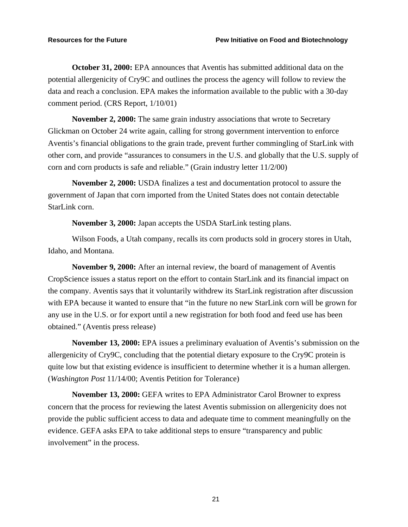**October 31, 2000:** EPA announces that Aventis has submitted additional data on the potential allergenicity of Cry9C and outlines the process the agency will follow to review the data and reach a conclusion. EPA makes the information available to the public with a 30-day comment period. (CRS Report, 1/10/01)

**November 2, 2000:** The same grain industry associations that wrote to Secretary Glickman on October 24 write again, calling for strong government intervention to enforce Aventis's financial obligations to the grain trade, prevent further commingling of StarLink with other corn, and provide "assurances to consumers in the U.S. and globally that the U.S. supply of corn and corn products is safe and reliable." (Grain industry letter 11/2/00)

**November 2, 2000:** USDA finalizes a test and documentation protocol to assure the government of Japan that corn imported from the United States does not contain detectable StarLink corn.

**November 3, 2000:** Japan accepts the USDA StarLink testing plans.

Wilson Foods, a Utah company, recalls its corn products sold in grocery stores in Utah, Idaho, and Montana.

**November 9, 2000:** After an internal review, the board of management of Aventis CropScience issues a status report on the effort to contain StarLink and its financial impact on the company. Aventis says that it voluntarily withdrew its StarLink registration after discussion with EPA because it wanted to ensure that "in the future no new StarLink corn will be grown for any use in the U.S. or for export until a new registration for both food and feed use has been obtained." (Aventis press release)

**November 13, 2000:** EPA issues a preliminary evaluation of Aventis's submission on the allergenicity of Cry9C, concluding that the potential dietary exposure to the Cry9C protein is quite low but that existing evidence is insufficient to determine whether it is a human allergen. (*Washington Post* 11/14/00; Aventis Petition for Tolerance)

**November 13, 2000:** GEFA writes to EPA Administrator Carol Browner to express concern that the process for reviewing the latest Aventis submission on allergenicity does not provide the public sufficient access to data and adequate time to comment meaningfully on the evidence. GEFA asks EPA to take additional steps to ensure "transparency and public involvement" in the process.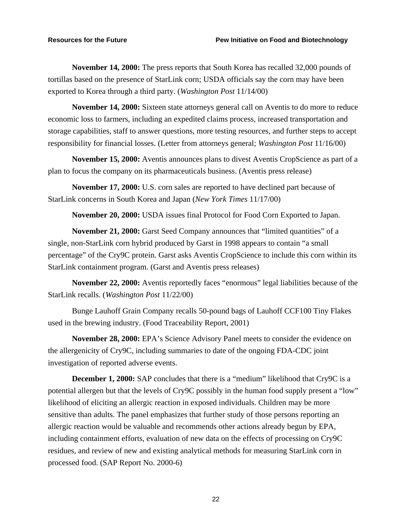**November 14, 2000:** The press reports that South Korea has recalled 32,000 pounds of tortillas based on the presence of StarLink corn; USDA officials say the corn may have been exported to Korea through a third party. (*Washington Post* 11/14/00)

**November 14, 2000:** Sixteen state attorneys general call on Aventis to do more to reduce economic loss to farmers, including an expedited claims process, increased transportation and storage capabilities, staff to answer questions, more testing resources, and further steps to accept responsibility for financial losses. (Letter from attorneys general; *Washington Post* 11/16/00)

**November 15, 2000:** Aventis announces plans to divest Aventis CropScience as part of a plan to focus the company on its pharmaceuticals business. (Aventis press release)

**November 17, 2000:** U.S. corn sales are reported to have declined part because of StarLink concerns in South Korea and Japan (*New York Times* 11/17/00)

**November 20, 2000:** USDA issues final Protocol for Food Corn Exported to Japan.

**November 21, 2000:** Garst Seed Company announces that "limited quantities" of a single, non-StarLink corn hybrid produced by Garst in 1998 appears to contain "a small percentage" of the Cry9C protein. Garst asks Aventis CropScience to include this corn within its StarLink containment program. (Garst and Aventis press releases)

**November 22, 2000:** Aventis reportedly faces "enormous" legal liabilities because of the StarLink recalls. (*Washington Post* 11/22/00)

Bunge Lauhoff Grain Company recalls 50-pound bags of Lauhoff CCF100 Tiny Flakes used in the brewing industry. (Food Traceability Report, 2001)

**November 28, 2000:** EPA's Science Advisory Panel meets to consider the evidence on the allergenicity of Cry9C, including summaries to date of the ongoing FDA-CDC joint investigation of reported adverse events.

**December 1, 2000:** SAP concludes that there is a "medium" likelihood that Cry9C is a potential allergen but that the levels of Cry9C possibly in the human food supply present a "low" likelihood of eliciting an allergic reaction in exposed individuals. Children may be more sensitive than adults. The panel emphasizes that further study of those persons reporting an allergic reaction would be valuable and recommends other actions already begun by EPA, including containment efforts, evaluation of new data on the effects of processing on Cry9C residues, and review of new and existing analytical methods for measuring StarLink corn in processed food. (SAP Report No. 2000-6)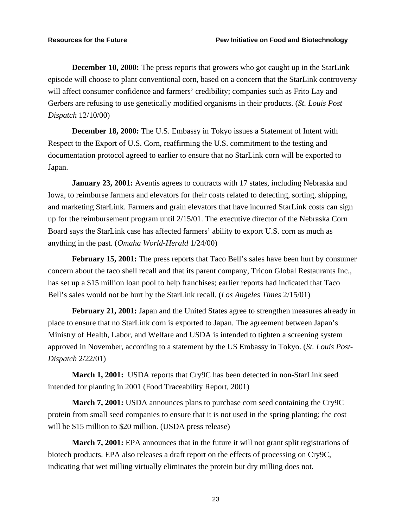**December 10, 2000:** The press reports that growers who got caught up in the StarLink episode will choose to plant conventional corn, based on a concern that the StarLink controversy will affect consumer confidence and farmers' credibility; companies such as Frito Lay and Gerbers are refusing to use genetically modified organisms in their products. (*St. Louis Post Dispatch* 12/10/00)

**December 18, 2000:** The U.S. Embassy in Tokyo issues a Statement of Intent with Respect to the Export of U.S. Corn, reaffirming the U.S. commitment to the testing and documentation protocol agreed to earlier to ensure that no StarLink corn will be exported to Japan.

**January 23, 2001:** Aventis agrees to contracts with 17 states, including Nebraska and Iowa, to reimburse farmers and elevators for their costs related to detecting, sorting, shipping, and marketing StarLink. Farmers and grain elevators that have incurred StarLink costs can sign up for the reimbursement program until 2/15/01. The executive director of the Nebraska Corn Board says the StarLink case has affected farmers' ability to export U.S. corn as much as anything in the past. (*Omaha World-Herald* 1/24/00)

**February 15, 2001:** The press reports that Taco Bell's sales have been hurt by consumer concern about the taco shell recall and that its parent company, Tricon Global Restaurants Inc., has set up a \$15 million loan pool to help franchises; earlier reports had indicated that Taco Bell's sales would not be hurt by the StarLink recall. (*Los Angeles Times* 2/15/01)

**February 21, 2001:** Japan and the United States agree to strengthen measures already in place to ensure that no StarLink corn is exported to Japan. The agreement between Japan's Ministry of Health, Labor, and Welfare and USDA is intended to tighten a screening system approved in November, according to a statement by the US Embassy in Tokyo. (*St. Louis Post-Dispatch* 2/22/01)

**March 1, 2001:** USDA reports that Cry9C has been detected in non-StarLink seed intended for planting in 2001 (Food Traceability Report, 2001)

**March 7, 2001:** USDA announces plans to purchase corn seed containing the Cry9C protein from small seed companies to ensure that it is not used in the spring planting; the cost will be \$15 million to \$20 million. (USDA press release)

**March 7, 2001:** EPA announces that in the future it will not grant split registrations of biotech products. EPA also releases a draft report on the effects of processing on Cry9C, indicating that wet milling virtually eliminates the protein but dry milling does not.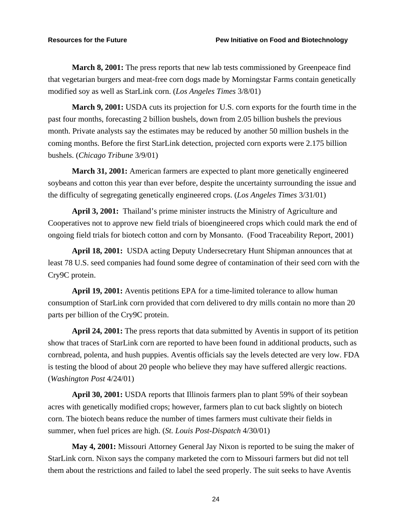**March 8, 2001:** The press reports that new lab tests commissioned by Greenpeace find that vegetarian burgers and meat-free corn dogs made by Morningstar Farms contain genetically modified soy as well as StarLink corn. (*Los Angeles Times* 3/8/01)

**March 9, 2001:** USDA cuts its projection for U.S. corn exports for the fourth time in the past four months, forecasting 2 billion bushels, down from 2.05 billion bushels the previous month. Private analysts say the estimates may be reduced by another 50 million bushels in the coming months. Before the first StarLink detection, projected corn exports were 2.175 billion bushels. (*Chicago Tribune* 3/9/01)

**March 31, 2001:** American farmers are expected to plant more genetically engineered soybeans and cotton this year than ever before, despite the uncertainty surrounding the issue and the difficulty of segregating genetically engineered crops. (*Los Angeles Times* 3/31/01)

**April 3, 2001:** Thailand's prime minister instructs the Ministry of Agriculture and Cooperatives not to approve new field trials of bioengineered crops which could mark the end of ongoing field trials for biotech cotton and corn by Monsanto. (Food Traceability Report, 2001)

**April 18, 2001:** USDA acting Deputy Undersecretary Hunt Shipman announces that at least 78 U.S. seed companies had found some degree of contamination of their seed corn with the Cry9C protein.

**April 19, 2001:** Aventis petitions EPA for a time-limited tolerance to allow human consumption of StarLink corn provided that corn delivered to dry mills contain no more than 20 parts per billion of the Cry9C protein.

**April 24, 2001:** The press reports that data submitted by Aventis in support of its petition show that traces of StarLink corn are reported to have been found in additional products, such as cornbread, polenta, and hush puppies. Aventis officials say the levels detected are very low. FDA is testing the blood of about 20 people who believe they may have suffered allergic reactions. (*Washington Post* 4/24/01)

**April 30, 2001:** USDA reports that Illinois farmers plan to plant 59% of their soybean acres with genetically modified crops; however, farmers plan to cut back slightly on biotech corn. The biotech beans reduce the number of times farmers must cultivate their fields in summer, when fuel prices are high. (*St. Louis Post-Dispatch* 4/30/01)

**May 4, 2001:** Missouri Attorney General Jay Nixon is reported to be suing the maker of StarLink corn. Nixon says the company marketed the corn to Missouri farmers but did not tell them about the restrictions and failed to label the seed properly. The suit seeks to have Aventis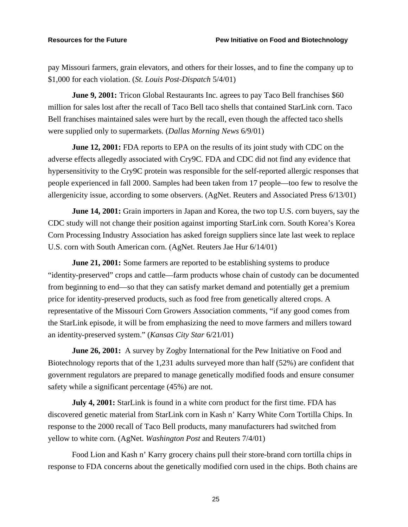pay Missouri farmers, grain elevators, and others for their losses, and to fine the company up to \$1,000 for each violation. (*St. Louis Post-Dispatch* 5/4/01)

**June 9, 2001:** Tricon Global Restaurants Inc. agrees to pay Taco Bell franchises \$60 million for sales lost after the recall of Taco Bell taco shells that contained StarLink corn. Taco Bell franchises maintained sales were hurt by the recall, even though the affected taco shells were supplied only to supermarkets. (*Dallas Morning News* 6/9/01)

**June 12, 2001:** FDA reports to EPA on the results of its joint study with CDC on the adverse effects allegedly associated with Cry9C. FDA and CDC did not find any evidence that hypersensitivity to the Cry9C protein was responsible for the self-reported allergic responses that people experienced in fall 2000. Samples had been taken from 17 people—too few to resolve the allergenicity issue, according to some observers. (AgNet. Reuters and Associated Press 6/13/01)

**June 14, 2001:** Grain importers in Japan and Korea, the two top U.S. corn buyers, say the CDC study will not change their position against importing StarLink corn. South Korea's Korea Corn Processing Industry Association has asked foreign suppliers since late last week to replace U.S. corn with South American corn. (AgNet. Reuters Jae Hur 6/14/01)

**June 21, 2001:** Some farmers are reported to be establishing systems to produce "identity-preserved" crops and cattle—farm products whose chain of custody can be documented from beginning to end—so that they can satisfy market demand and potentially get a premium price for identity-preserved products, such as food free from genetically altered crops. A representative of the Missouri Corn Growers Association comments, "if any good comes from the StarLink episode, it will be from emphasizing the need to move farmers and millers toward an identity-preserved system." (*Kansas City Star* 6/21/01)

**June 26, 2001:** A survey by Zogby International for the Pew Initiative on Food and Biotechnology reports that of the 1,231 adults surveyed more than half (52%) are confident that government regulators are prepared to manage genetically modified foods and ensure consumer safety while a significant percentage (45%) are not.

**July 4, 2001:** StarLink is found in a white corn product for the first time. FDA has discovered genetic material from StarLink corn in Kash n' Karry White Corn Tortilla Chips. In response to the 2000 recall of Taco Bell products, many manufacturers had switched from yellow to white corn. (AgNet. *Washington Post* and Reuters 7/4/01)

Food Lion and Kash n' Karry grocery chains pull their store-brand corn tortilla chips in response to FDA concerns about the genetically modified corn used in the chips. Both chains are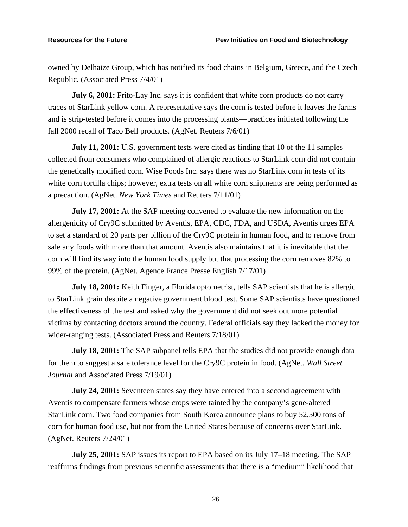owned by Delhaize Group, which has notified its food chains in Belgium, Greece, and the Czech Republic. (Associated Press 7/4/01)

**July 6, 2001:** Frito-Lay Inc. says it is confident that white corn products do not carry traces of StarLink yellow corn. A representative says the corn is tested before it leaves the farms and is strip-tested before it comes into the processing plants—practices initiated following the fall 2000 recall of Taco Bell products. (AgNet. Reuters 7/6/01)

**July 11, 2001:** U.S. government tests were cited as finding that 10 of the 11 samples collected from consumers who complained of allergic reactions to StarLink corn did not contain the genetically modified corn. Wise Foods Inc. says there was no StarLink corn in tests of its white corn tortilla chips; however, extra tests on all white corn shipments are being performed as a precaution. (AgNet. *New York Times* and Reuters 7/11/01)

**July 17, 2001:** At the SAP meeting convened to evaluate the new information on the allergenicity of Cry9C submitted by Aventis, EPA, CDC, FDA, and USDA, Aventis urges EPA to set a standard of 20 parts per billion of the Cry9C protein in human food, and to remove from sale any foods with more than that amount. Aventis also maintains that it is inevitable that the corn will find its way into the human food supply but that processing the corn removes 82% to 99% of the protein. (AgNet. Agence France Presse English 7/17/01)

**July 18, 2001:** Keith Finger, a Florida optometrist, tells SAP scientists that he is allergic to StarLink grain despite a negative government blood test. Some SAP scientists have questioned the effectiveness of the test and asked why the government did not seek out more potential victims by contacting doctors around the country. Federal officials say they lacked the money for wider-ranging tests. (Associated Press and Reuters 7/18/01)

**July 18, 2001:** The SAP subpanel tells EPA that the studies did not provide enough data for them to suggest a safe tolerance level for the Cry9C protein in food. (AgNet. *Wall Street Journal* and Associated Press 7/19/01)

**July 24, 2001:** Seventeen states say they have entered into a second agreement with Aventis to compensate farmers whose crops were tainted by the company's gene-altered StarLink corn. Two food companies from South Korea announce plans to buy 52,500 tons of corn for human food use, but not from the United States because of concerns over StarLink. (AgNet. Reuters 7/24/01)

**July 25, 2001:** SAP issues its report to EPA based on its July 17–18 meeting. The SAP reaffirms findings from previous scientific assessments that there is a "medium" likelihood that